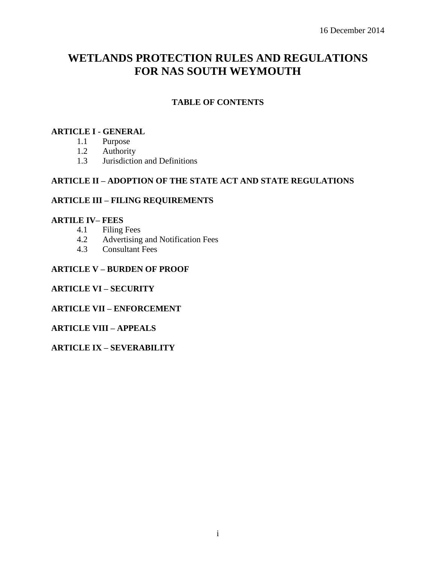# **WETLANDS PROTECTION RULES AND REGULATIONS FOR NAS SOUTH WEYMOUTH**

# **TABLE OF CONTENTS**

## **ARTICLE I - GENERAL**

- 1.1 Purpose
- 1.2 Authority
- 1.3 Jurisdiction and Definitions

## **ARTICLE II – ADOPTION OF THE STATE ACT AND STATE REGULATIONS**

# **ARTICLE III – FILING REQUIREMENTS**

# **ARTILE IV– FEES**

- 4.1 Filing Fees
- 4.2 Advertising and Notification Fees
- 4.3 Consultant Fees

# **ARTICLE V – BURDEN OF PROOF**

#### **ARTICLE VI – SECURITY**

#### **ARTICLE VII – ENFORCEMENT**

#### **ARTICLE VIII – APPEALS**

## **ARTICLE IX – SEVERABILITY**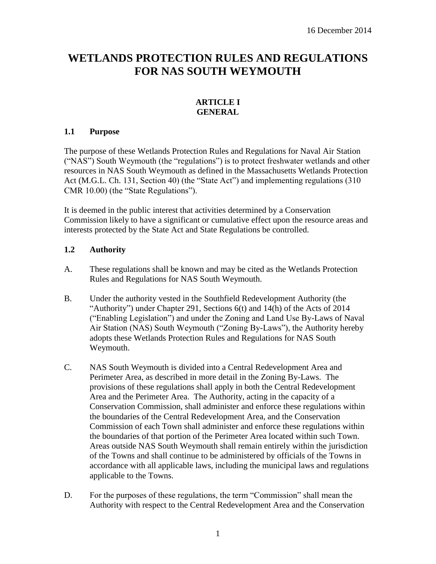# **WETLANDS PROTECTION RULES AND REGULATIONS FOR NAS SOUTH WEYMOUTH**

# **ARTICLE I GENERAL**

# **1.1 Purpose**

The purpose of these Wetlands Protection Rules and Regulations for Naval Air Station ("NAS") South Weymouth (the "regulations") is to protect freshwater wetlands and other resources in NAS South Weymouth as defined in the Massachusetts Wetlands Protection Act (M.G.L. Ch. 131, Section 40) (the "State Act") and implementing regulations (310 CMR 10.00) (the "State Regulations").

It is deemed in the public interest that activities determined by a Conservation Commission likely to have a significant or cumulative effect upon the resource areas and interests protected by the State Act and State Regulations be controlled.

# **1.2 Authority**

- A. These regulations shall be known and may be cited as the Wetlands Protection Rules and Regulations for NAS South Weymouth.
- B. Under the authority vested in the Southfield Redevelopment Authority (the "Authority") under Chapter 291, Sections 6(t) and 14(h) of the Acts of 2014 ("Enabling Legislation") and under the Zoning and Land Use By-Laws of Naval Air Station (NAS) South Weymouth ("Zoning By-Laws"), the Authority hereby adopts these Wetlands Protection Rules and Regulations for NAS South Weymouth.
- C. NAS South Weymouth is divided into a Central Redevelopment Area and Perimeter Area, as described in more detail in the Zoning By-Laws. The provisions of these regulations shall apply in both the Central Redevelopment Area and the Perimeter Area. The Authority, acting in the capacity of a Conservation Commission, shall administer and enforce these regulations within the boundaries of the Central Redevelopment Area, and the Conservation Commission of each Town shall administer and enforce these regulations within the boundaries of that portion of the Perimeter Area located within such Town. Areas outside NAS South Weymouth shall remain entirely within the jurisdiction of the Towns and shall continue to be administered by officials of the Towns in accordance with all applicable laws, including the municipal laws and regulations applicable to the Towns.
- D. For the purposes of these regulations, the term "Commission" shall mean the Authority with respect to the Central Redevelopment Area and the Conservation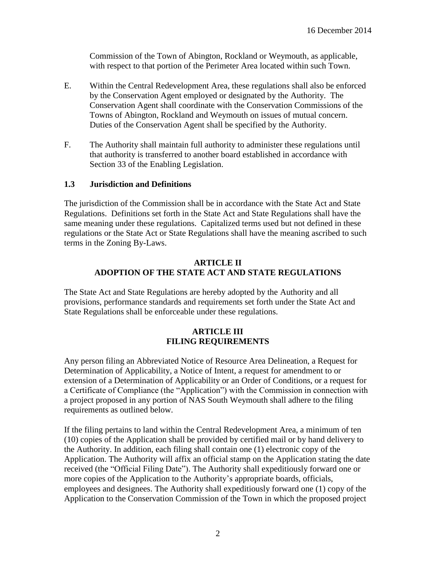Commission of the Town of Abington, Rockland or Weymouth, as applicable, with respect to that portion of the Perimeter Area located within such Town.

- E. Within the Central Redevelopment Area, these regulations shall also be enforced by the Conservation Agent employed or designated by the Authority. The Conservation Agent shall coordinate with the Conservation Commissions of the Towns of Abington, Rockland and Weymouth on issues of mutual concern. Duties of the Conservation Agent shall be specified by the Authority.
- F. The Authority shall maintain full authority to administer these regulations until that authority is transferred to another board established in accordance with Section 33 of the Enabling Legislation.

## **1.3 Jurisdiction and Definitions**

The jurisdiction of the Commission shall be in accordance with the State Act and State Regulations. Definitions set forth in the State Act and State Regulations shall have the same meaning under these regulations. Capitalized terms used but not defined in these regulations or the State Act or State Regulations shall have the meaning ascribed to such terms in the Zoning By-Laws.

# **ARTICLE II ADOPTION OF THE STATE ACT AND STATE REGULATIONS**

The State Act and State Regulations are hereby adopted by the Authority and all provisions, performance standards and requirements set forth under the State Act and State Regulations shall be enforceable under these regulations.

## **ARTICLE III FILING REQUIREMENTS**

Any person filing an Abbreviated Notice of Resource Area Delineation, a Request for Determination of Applicability, a Notice of Intent, a request for amendment to or extension of a Determination of Applicability or an Order of Conditions, or a request for a Certificate of Compliance (the "Application") with the Commission in connection with a project proposed in any portion of NAS South Weymouth shall adhere to the filing requirements as outlined below.

If the filing pertains to land within the Central Redevelopment Area, a minimum of ten (10) copies of the Application shall be provided by certified mail or by hand delivery to the Authority. In addition, each filing shall contain one (1) electronic copy of the Application. The Authority will affix an official stamp on the Application stating the date received (the "Official Filing Date"). The Authority shall expeditiously forward one or more copies of the Application to the Authority's appropriate boards, officials, employees and designees. The Authority shall expeditiously forward one (1) copy of the Application to the Conservation Commission of the Town in which the proposed project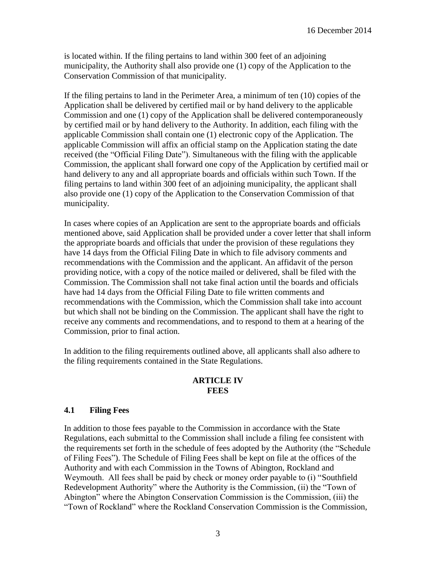is located within. If the filing pertains to land within 300 feet of an adjoining municipality, the Authority shall also provide one (1) copy of the Application to the Conservation Commission of that municipality.

If the filing pertains to land in the Perimeter Area, a minimum of ten (10) copies of the Application shall be delivered by certified mail or by hand delivery to the applicable Commission and one (1) copy of the Application shall be delivered contemporaneously by certified mail or by hand delivery to the Authority. In addition, each filing with the applicable Commission shall contain one (1) electronic copy of the Application. The applicable Commission will affix an official stamp on the Application stating the date received (the "Official Filing Date"). Simultaneous with the filing with the applicable Commission, the applicant shall forward one copy of the Application by certified mail or hand delivery to any and all appropriate boards and officials within such Town. If the filing pertains to land within 300 feet of an adjoining municipality, the applicant shall also provide one (1) copy of the Application to the Conservation Commission of that municipality.

In cases where copies of an Application are sent to the appropriate boards and officials mentioned above, said Application shall be provided under a cover letter that shall inform the appropriate boards and officials that under the provision of these regulations they have 14 days from the Official Filing Date in which to file advisory comments and recommendations with the Commission and the applicant. An affidavit of the person providing notice, with a copy of the notice mailed or delivered, shall be filed with the Commission. The Commission shall not take final action until the boards and officials have had 14 days from the Official Filing Date to file written comments and recommendations with the Commission, which the Commission shall take into account but which shall not be binding on the Commission. The applicant shall have the right to receive any comments and recommendations, and to respond to them at a hearing of the Commission, prior to final action.

In addition to the filing requirements outlined above, all applicants shall also adhere to the filing requirements contained in the State Regulations.

### **ARTICLE IV FEES**

## **4.1 Filing Fees**

In addition to those fees payable to the Commission in accordance with the State Regulations, each submittal to the Commission shall include a filing fee consistent with the requirements set forth in the schedule of fees adopted by the Authority (the "Schedule of Filing Fees"). The Schedule of Filing Fees shall be kept on file at the offices of the Authority and with each Commission in the Towns of Abington, Rockland and Weymouth. All fees shall be paid by check or money order payable to (i) "Southfield Redevelopment Authority" where the Authority is the Commission, (ii) the "Town of Abington" where the Abington Conservation Commission is the Commission, (iii) the "Town of Rockland" where the Rockland Conservation Commission is the Commission,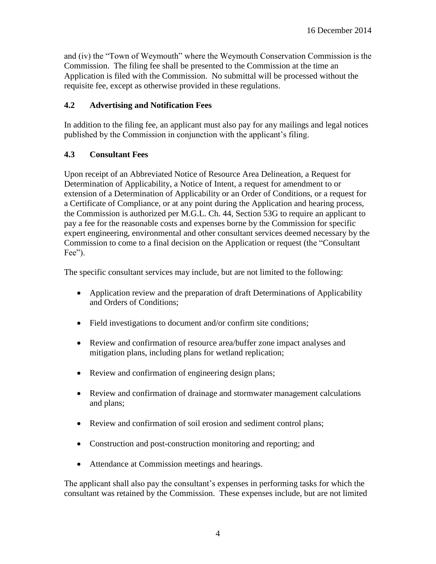and (iv) the "Town of Weymouth" where the Weymouth Conservation Commission is the Commission. The filing fee shall be presented to the Commission at the time an Application is filed with the Commission. No submittal will be processed without the requisite fee, except as otherwise provided in these regulations.

# **4.2 Advertising and Notification Fees**

In addition to the filing fee, an applicant must also pay for any mailings and legal notices published by the Commission in conjunction with the applicant's filing.

# **4.3 Consultant Fees**

Upon receipt of an Abbreviated Notice of Resource Area Delineation, a Request for Determination of Applicability, a Notice of Intent, a request for amendment to or extension of a Determination of Applicability or an Order of Conditions, or a request for a Certificate of Compliance, or at any point during the Application and hearing process, the Commission is authorized per M.G.L. Ch. 44, Section 53G to require an applicant to pay a fee for the reasonable costs and expenses borne by the Commission for specific expert engineering, environmental and other consultant services deemed necessary by the Commission to come to a final decision on the Application or request (the "Consultant Fee").

The specific consultant services may include, but are not limited to the following:

- Application review and the preparation of draft Determinations of Applicability and Orders of Conditions;
- Field investigations to document and/or confirm site conditions;
- Review and confirmation of resource area/buffer zone impact analyses and mitigation plans, including plans for wetland replication;
- Review and confirmation of engineering design plans;
- Review and confirmation of drainage and stormwater management calculations and plans;
- Review and confirmation of soil erosion and sediment control plans;
- Construction and post-construction monitoring and reporting; and
- Attendance at Commission meetings and hearings.

The applicant shall also pay the consultant's expenses in performing tasks for which the consultant was retained by the Commission. These expenses include, but are not limited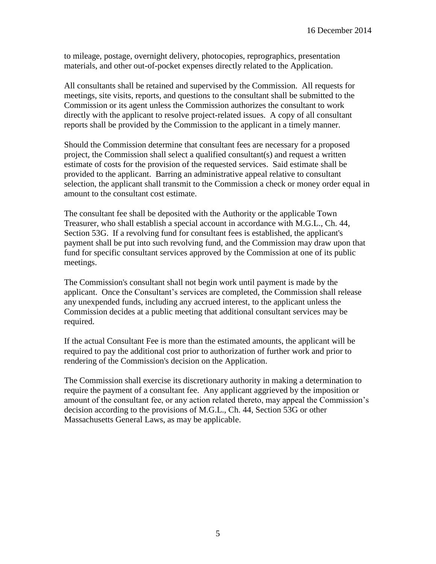to mileage, postage, overnight delivery, photocopies, reprographics, presentation materials, and other out-of-pocket expenses directly related to the Application.

All consultants shall be retained and supervised by the Commission. All requests for meetings, site visits, reports, and questions to the consultant shall be submitted to the Commission or its agent unless the Commission authorizes the consultant to work directly with the applicant to resolve project-related issues. A copy of all consultant reports shall be provided by the Commission to the applicant in a timely manner.

Should the Commission determine that consultant fees are necessary for a proposed project, the Commission shall select a qualified consultant(s) and request a written estimate of costs for the provision of the requested services. Said estimate shall be provided to the applicant. Barring an administrative appeal relative to consultant selection, the applicant shall transmit to the Commission a check or money order equal in amount to the consultant cost estimate.

The consultant fee shall be deposited with the Authority or the applicable Town Treasurer, who shall establish a special account in accordance with M.G.L., Ch. 44, Section 53G. If a revolving fund for consultant fees is established, the applicant's payment shall be put into such revolving fund, and the Commission may draw upon that fund for specific consultant services approved by the Commission at one of its public meetings.

The Commission's consultant shall not begin work until payment is made by the applicant. Once the Consultant's services are completed, the Commission shall release any unexpended funds, including any accrued interest, to the applicant unless the Commission decides at a public meeting that additional consultant services may be required.

If the actual Consultant Fee is more than the estimated amounts, the applicant will be required to pay the additional cost prior to authorization of further work and prior to rendering of the Commission's decision on the Application.

The Commission shall exercise its discretionary authority in making a determination to require the payment of a consultant fee. Any applicant aggrieved by the imposition or amount of the consultant fee, or any action related thereto, may appeal the Commission's decision according to the provisions of M.G.L., Ch. 44, Section 53G or other Massachusetts General Laws, as may be applicable.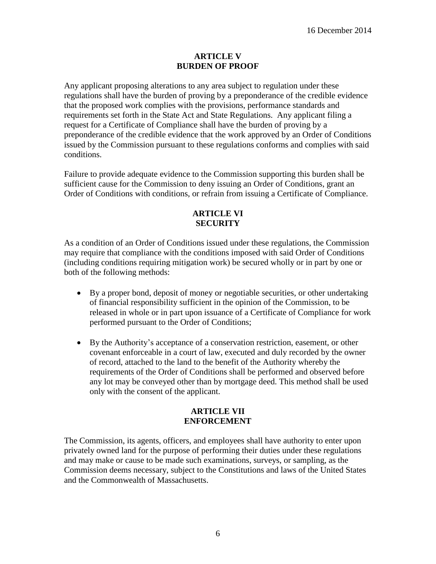#### **ARTICLE V BURDEN OF PROOF**

Any applicant proposing alterations to any area subject to regulation under these regulations shall have the burden of proving by a preponderance of the credible evidence that the proposed work complies with the provisions, performance standards and requirements set forth in the State Act and State Regulations. Any applicant filing a request for a Certificate of Compliance shall have the burden of proving by a preponderance of the credible evidence that the work approved by an Order of Conditions issued by the Commission pursuant to these regulations conforms and complies with said conditions.

Failure to provide adequate evidence to the Commission supporting this burden shall be sufficient cause for the Commission to deny issuing an Order of Conditions, grant an Order of Conditions with conditions, or refrain from issuing a Certificate of Compliance.

# **ARTICLE VI SECURITY**

As a condition of an Order of Conditions issued under these regulations, the Commission may require that compliance with the conditions imposed with said Order of Conditions (including conditions requiring mitigation work) be secured wholly or in part by one or both of the following methods:

- By a proper bond, deposit of money or negotiable securities, or other undertaking of financial responsibility sufficient in the opinion of the Commission, to be released in whole or in part upon issuance of a Certificate of Compliance for work performed pursuant to the Order of Conditions;
- By the Authority's acceptance of a conservation restriction, easement, or other covenant enforceable in a court of law, executed and duly recorded by the owner of record, attached to the land to the benefit of the Authority whereby the requirements of the Order of Conditions shall be performed and observed before any lot may be conveyed other than by mortgage deed. This method shall be used only with the consent of the applicant.

## **ARTICLE VII ENFORCEMENT**

The Commission, its agents, officers, and employees shall have authority to enter upon privately owned land for the purpose of performing their duties under these regulations and may make or cause to be made such examinations, surveys, or sampling, as the Commission deems necessary, subject to the Constitutions and laws of the United States and the Commonwealth of Massachusetts.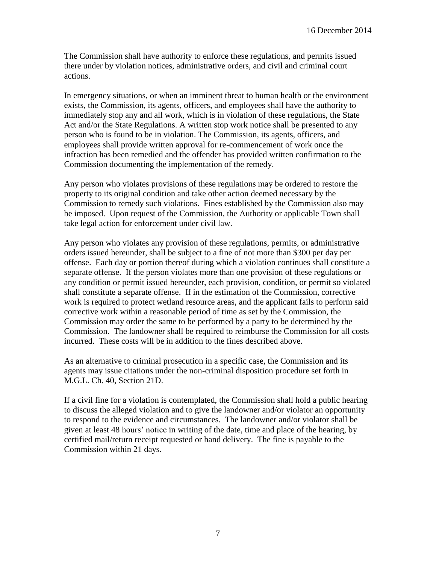The Commission shall have authority to enforce these regulations, and permits issued there under by violation notices, administrative orders, and civil and criminal court actions.

In emergency situations, or when an imminent threat to human health or the environment exists, the Commission, its agents, officers, and employees shall have the authority to immediately stop any and all work, which is in violation of these regulations, the State Act and/or the State Regulations. A written stop work notice shall be presented to any person who is found to be in violation. The Commission, its agents, officers, and employees shall provide written approval for re-commencement of work once the infraction has been remedied and the offender has provided written confirmation to the Commission documenting the implementation of the remedy.

Any person who violates provisions of these regulations may be ordered to restore the property to its original condition and take other action deemed necessary by the Commission to remedy such violations. Fines established by the Commission also may be imposed. Upon request of the Commission, the Authority or applicable Town shall take legal action for enforcement under civil law.

Any person who violates any provision of these regulations, permits, or administrative orders issued hereunder, shall be subject to a fine of not more than \$300 per day per offense. Each day or portion thereof during which a violation continues shall constitute a separate offense. If the person violates more than one provision of these regulations or any condition or permit issued hereunder, each provision, condition, or permit so violated shall constitute a separate offense. If in the estimation of the Commission, corrective work is required to protect wetland resource areas, and the applicant fails to perform said corrective work within a reasonable period of time as set by the Commission, the Commission may order the same to be performed by a party to be determined by the Commission. The landowner shall be required to reimburse the Commission for all costs incurred. These costs will be in addition to the fines described above.

As an alternative to criminal prosecution in a specific case, the Commission and its agents may issue citations under the non-criminal disposition procedure set forth in M.G.L. Ch. 40, Section 21D.

If a civil fine for a violation is contemplated, the Commission shall hold a public hearing to discuss the alleged violation and to give the landowner and/or violator an opportunity to respond to the evidence and circumstances. The landowner and/or violator shall be given at least 48 hours' notice in writing of the date, time and place of the hearing, by certified mail/return receipt requested or hand delivery. The fine is payable to the Commission within 21 days.